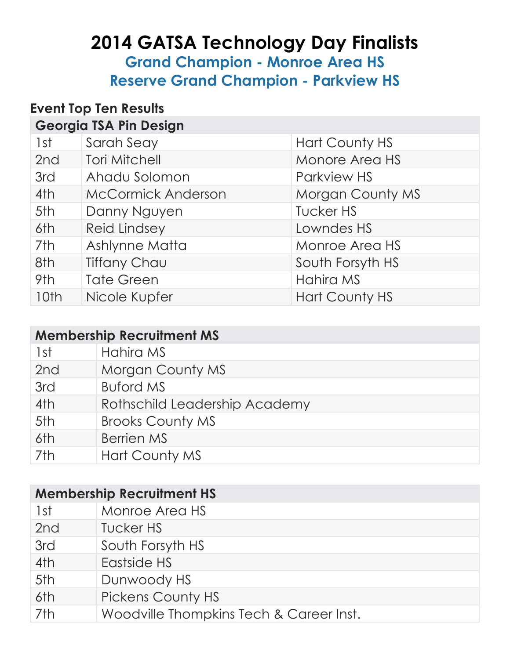## **2014 GATSA Technology Day Finalists**

**Grand Champion - Monroe Area HS Reserve Grand Champion - Parkview HS**

| <b>Event Top Ten Results</b> |                               |                         |  |
|------------------------------|-------------------------------|-------------------------|--|
|                              | <b>Georgia TSA Pin Design</b> |                         |  |
| 1st                          | Sarah Seay                    | Hart County HS          |  |
| 2nd                          | <b>Tori Mitchell</b>          | Monore Area HS          |  |
| 3rd                          | Ahadu Solomon                 | Parkview HS             |  |
| 4th                          | <b>McCormick Anderson</b>     | <b>Morgan County MS</b> |  |
| 5th                          | Danny Nguyen                  | <b>Tucker HS</b>        |  |
| 6th                          | <b>Reid Lindsey</b>           | Lowndes HS              |  |
| 7th                          | Ashlynne Matta                | Monroe Area HS          |  |
| 8th                          | <b>Tiffany Chau</b>           | South Forsyth HS        |  |
| 9th                          | <b>Tate Green</b>             | Hahira MS               |  |
| 10th                         | Nicole Kupfer                 | Hart County HS          |  |

|                 | <b>Membership Recruitment MS</b> |  |  |
|-----------------|----------------------------------|--|--|
| 1st             | Hahira MS                        |  |  |
| 2nd             | Morgan County MS                 |  |  |
| 3rd             | <b>Buford MS</b>                 |  |  |
| 4th             | Rothschild Leadership Academy    |  |  |
| 5 <sup>th</sup> | <b>Brooks County MS</b>          |  |  |
| 6th             | <b>Berrien MS</b>                |  |  |
| 7th             | Hart County MS                   |  |  |

| <b>Membership Recruitment HS</b> |                                         |  |
|----------------------------------|-----------------------------------------|--|
| 1st                              | Monroe Area HS                          |  |
| 2nd                              | Tucker HS                               |  |
| 3rd                              | South Forsyth HS                        |  |
| 4 <sup>th</sup>                  | Eastside HS                             |  |
| 5th                              | Dunwoody HS                             |  |
| 6th                              | <b>Pickens County HS</b>                |  |
| 7th                              | Woodville Thompkins Tech & Career Inst. |  |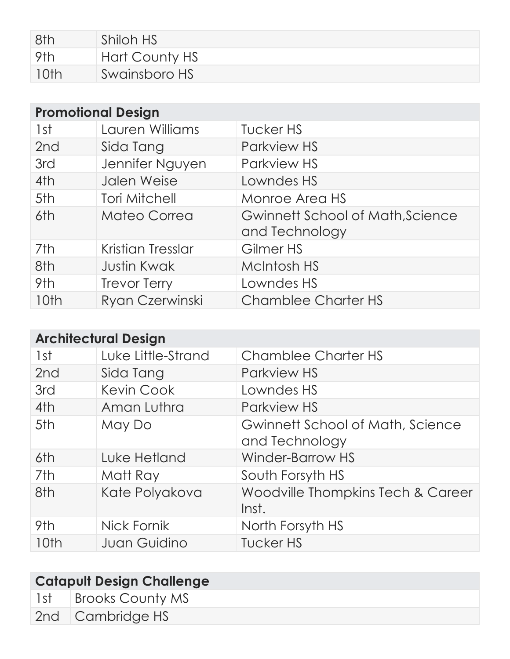| 8th  | Shiloh HS      |
|------|----------------|
| 9th  | Hart County HS |
| 10th | Swainsboro HS  |

| <b>Promotional Design</b> |                        |                                                           |
|---------------------------|------------------------|-----------------------------------------------------------|
| 1st                       | Lauren Williams        | Tucker HS                                                 |
| 2nd                       | Sida Tang              | Parkview HS                                               |
| 3rd                       | Jennifer Nguyen        | <b>Parkview HS</b>                                        |
| 4th                       | Jalen Weise            | Lowndes HS                                                |
| 5th                       | <b>Tori Mitchell</b>   | Monroe Area HS                                            |
| 6th                       | <b>Mateo Correa</b>    | <b>Gwinnett School of Math, Science</b><br>and Technology |
| 7th                       | Kristian Tresslar      | Gilmer HS                                                 |
| 8th                       | <b>Justin Kwak</b>     | McIntosh HS                                               |
| 9th                       | <b>Trevor Terry</b>    | Lowndes HS                                                |
| 10th                      | <b>Ryan Czerwinski</b> | <b>Chamblee Charter HS</b>                                |

| <b>Architectural Design</b> |                    |                                                    |
|-----------------------------|--------------------|----------------------------------------------------|
| 1st                         | Luke Little-Strand | <b>Chamblee Charter HS</b>                         |
| 2 <sub>nd</sub>             | Sida Tang          | <b>Parkview HS</b>                                 |
| 3rd                         | Kevin Cook         | Lowndes HS                                         |
| 4th                         | Aman Luthra        | <b>Parkview HS</b>                                 |
| 5 <sup>th</sup>             | May Do             | Gwinnett School of Math, Science<br>and Technology |
| 6th                         | Luke Hetland       | Winder-Barrow HS                                   |
| 7th                         | Matt Ray           | South Forsyth HS                                   |
| 8th                         | Kate Polyakova     | Woodville Thompkins Tech & Career<br>Inst.         |
| 9th                         | Nick Fornik        | North Forsyth HS                                   |
| 10th                        | Juan Guidino       | <b>Tucker HS</b>                                   |

| <b>Catapult Design Challenge</b> |                      |
|----------------------------------|----------------------|
|                                  | 1st Brooks County MS |
|                                  | 2nd Cambridge HS     |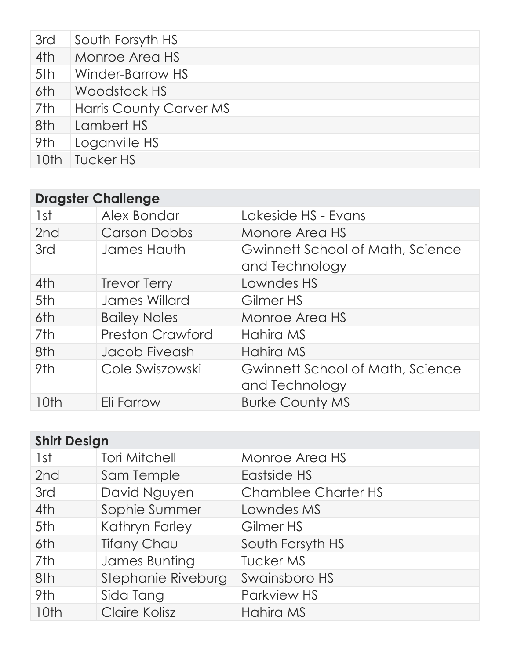| 3rd             | South Forsyth HS               |
|-----------------|--------------------------------|
| 4 <sup>th</sup> | Monroe Area HS                 |
| 5th             | Winder-Barrow HS               |
| 6th             | Woodstock HS                   |
| 7th             | <b>Harris County Carver MS</b> |
| 8th             | Lambert HS                     |
| 9th             | Loganville HS                  |
| 10th            | Tucker HS                      |

| <b>Dragster Challenge</b> |                         |                                                    |
|---------------------------|-------------------------|----------------------------------------------------|
| 1st                       | Alex Bondar             | Lakeside HS - Evans                                |
| 2 <sub>nd</sub>           | <b>Carson Dobbs</b>     | Monore Area HS                                     |
| 3rd                       | James Hauth             | Gwinnett School of Math, Science<br>and Technology |
| 4 <sup>th</sup>           | <b>Trevor Terry</b>     | Lowndes HS                                         |
| 5th                       | James Willard           | Gilmer HS                                          |
| 6th                       | <b>Bailey Noles</b>     | Monroe Area HS                                     |
| 7th                       | <b>Preston Crawford</b> | Hahira MS                                          |
| 8th                       | Jacob Fiveash           | Hahira MS                                          |
| 9th                       | Cole Swiszowski         | Gwinnett School of Math, Science<br>and Technology |
| 10th                      | Eli Farrow              | <b>Burke County MS</b>                             |

| <b>Shirt Design</b> |                       |                            |
|---------------------|-----------------------|----------------------------|
| 1st                 | <b>Tori Mitchell</b>  | Monroe Area HS             |
| 2nd                 | Sam Temple            | Eastside HS                |
| 3rd                 | David Nguyen          | <b>Chamblee Charter HS</b> |
| 4 <sup>th</sup>     | Sophie Summer         | Lowndes MS                 |
| 5th                 | <b>Kathryn Farley</b> | Gilmer HS                  |
| 6th                 | <b>Tifany Chau</b>    | South Forsyth HS           |
| 7th                 | James Bunting         | <b>Tucker MS</b>           |
| 8th                 | Stephanie Riveburg    | Swainsboro HS              |
| 9th                 | Sida Tang             | <b>Parkview HS</b>         |
| 10th                | Claire Kolisz         | Hahira MS                  |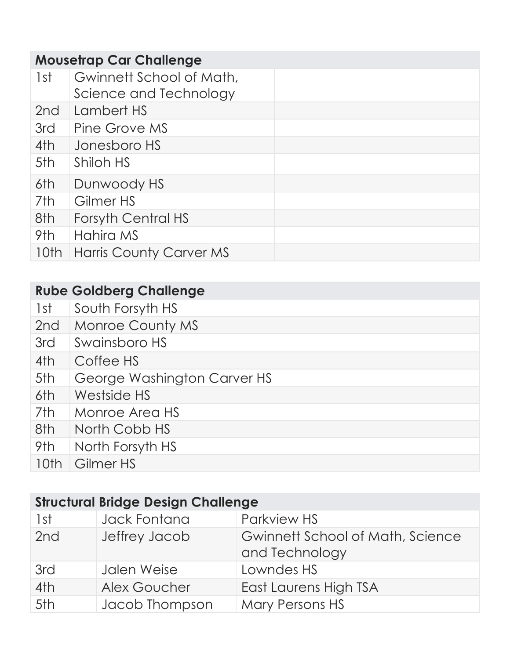|                 | <b>Mousetrap Car Challenge</b> |  |  |
|-----------------|--------------------------------|--|--|
| 1st             | Gwinnett School of Math,       |  |  |
|                 | Science and Technology         |  |  |
| 2nd             | Lambert HS                     |  |  |
| 3rd             | Pine Grove MS                  |  |  |
| 4 <sup>th</sup> | Jonesboro HS                   |  |  |
| 5 <sup>th</sup> | Shiloh HS                      |  |  |
| 6th             | Dunwoody HS                    |  |  |
| 7th             | Gilmer HS                      |  |  |
| 8th             | Forsyth Central HS             |  |  |
| 9th             | Hahira MS                      |  |  |
| 10th            | <b>Harris County Carver MS</b> |  |  |

|                 | <b>Rube Goldberg Challenge</b> |
|-----------------|--------------------------------|
| 1st             | South Forsyth HS               |
| 2 <sub>nd</sub> | <b>Monroe County MS</b>        |
| 3rd             | Swainsboro HS                  |
| 4 <sup>th</sup> | Coffee HS                      |
| 5th             | George Washington Carver HS    |
| 6th             | Westside HS                    |
| 7th             | Monroe Area HS                 |
| 8th             | North Cobb HS                  |
| 9th             | North Forsyth HS               |
| 10th            | Gilmer HS                      |

| <b>Structural Bridge Design Challenge</b> |                     |                                                    |  |
|-------------------------------------------|---------------------|----------------------------------------------------|--|
| 1st                                       | <b>Jack Fontana</b> | Parkview HS                                        |  |
| 2nd                                       | Jeffrey Jacob       | Gwinnett School of Math, Science<br>and Technology |  |
| 3rd                                       | Jalen Weise         | Lowndes HS                                         |  |
| 4th                                       | <b>Alex Goucher</b> | East Laurens High TSA                              |  |
| 5th                                       | Jacob Thompson      | <b>Mary Persons HS</b>                             |  |